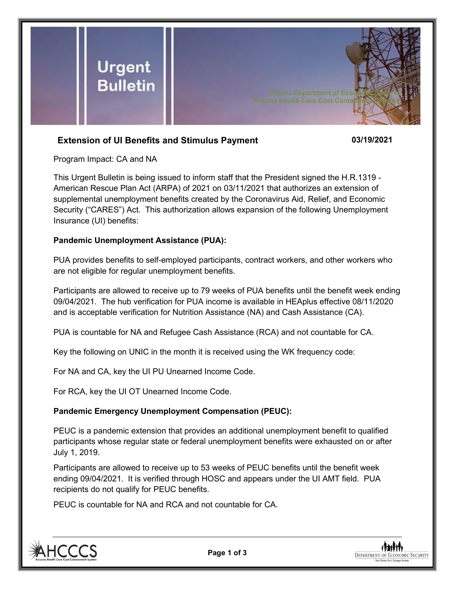

# **Extension of UI Benefits and Stimulus Payment 03/19/2021**

Program Impact: CA and NA

This Urgent Bulletin is being issued to inform staff that the President signed the H.R.1319 - American Rescue Plan Act (ARPA) of 2021 on 03/11/2021 that authorizes an extension of supplemental unemployment benefits created by the Coronavirus Aid, Relief, and Economic Security ("CARES") Act. This authorization allows expansion of the following Unemployment Insurance (UI) benefits:

#### **Pandemic Unemployment Assistance (PUA):**

PUA provides benefits to self-employed participants, contract workers, and other workers who are not eligible for regular unemployment benefits.

Participants are allowed to receive up to 79 weeks of PUA benefits until the benefit week ending 09/04/2021. The hub verification for PUA income is available in HEAplus effective 08/11/2020 and is acceptable verification for Nutrition Assistance (NA) and Cash Assistance (CA).

PUA is countable for NA and Refugee Cash Assistance (RCA) and not countable for CA.

Key the following on UNIC in the month it is received using the WK frequency code:

For NA and CA, key the UI PU Unearned Income Code.

For RCA, key the UI OT Unearned Income Code.

## **Pandemic Emergency Unemployment Compensation (PEUC):**

PEUC is a pandemic extension that provides an additional unemployment benefit to qualified participants whose regular state or federal unemployment benefits were exhausted on or after July 1, 2019.

Participants are allowed to receive up to 53 weeks of PEUC benefits until the benefit week ending 09/04/2021. It is verified through HOSC and appears under the UI AMT field. PUA recipients do not qualify for PEUC benefits.

PEUC is countable for NA and RCA and not countable for CA.



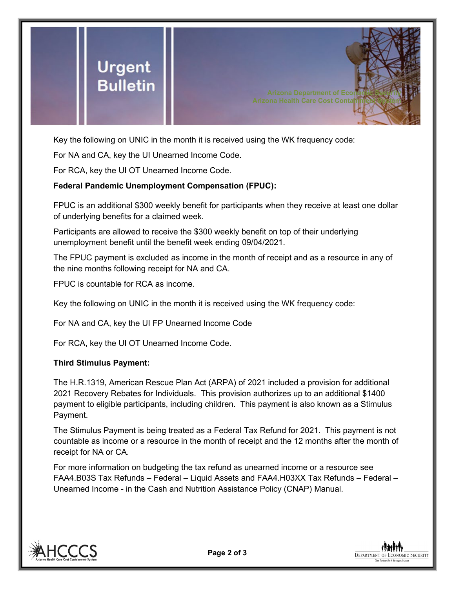

Key the following on UNIC in the month it is received using the WK frequency code:

For NA and CA, key the UI Unearned Income Code.

For RCA, key the UI OT Unearned Income Code.

## **Federal Pandemic Unemployment Compensation (FPUC):**

FPUC is an additional \$300 weekly benefit for participants when they receive at least one dollar of underlying benefits for a claimed week.

Participants are allowed to receive the \$300 weekly benefit on top of their underlying unemployment benefit until the benefit week ending 09/04/2021.

The FPUC payment is excluded as income in the month of receipt and as a resource in any of the nine months following receipt for NA and CA.

FPUC is countable for RCA as income.

Key the following on UNIC in the month it is received using the WK frequency code:

For NA and CA, key the UI FP Unearned Income Code

For RCA, key the UI OT Unearned Income Code.

#### **Third Stimulus Payment:**

The H.R.1319, American Rescue Plan Act (ARPA) of 2021 included a provision for additional 2021 Recovery Rebates for Individuals. This provision authorizes up to an additional \$1400 payment to eligible participants, including children. This payment is also known as a Stimulus Payment.

The Stimulus Payment is being treated as a Federal Tax Refund for 2021. This payment is not countable as income or a resource in the month of receipt and the 12 months after the month of receipt for NA or CA.

For more information on budgeting the tax refund as unearned income or a resource see FAA4.B03S Tax Refunds – Federal – Liquid Assets and FAA4.H03XX Tax Refunds – Federal – Unearned Income - in the Cash and Nutrition Assistance Policy (CNAP) Manual.